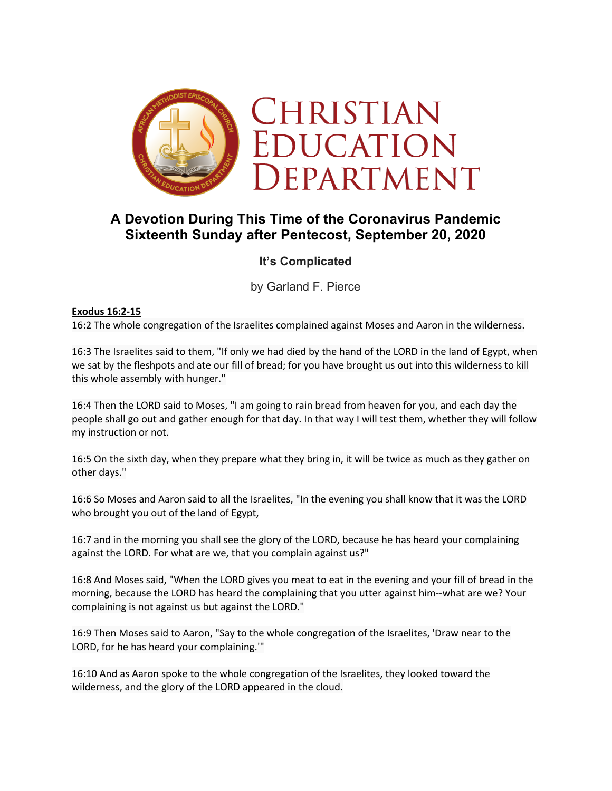

# **A Devotion During This Time of the Coronavirus Pandemic Sixteenth Sunday after Pentecost, September 20, 2020**

# **It's Complicated**

by Garland F. Pierce

#### **Exodus 16:2-15**

16:2 The whole congregation of the Israelites complained against Moses and Aaron in the wilderness.

16:3 The Israelites said to them, "If only we had died by the hand of the LORD in the land of Egypt, when we sat by the fleshpots and ate our fill of bread; for you have brought us out into this wilderness to kill this whole assembly with hunger."

16:4 Then the LORD said to Moses, "I am going to rain bread from heaven for you, and each day the people shall go out and gather enough for that day. In that way I will test them, whether they will follow my instruction or not.

16:5 On the sixth day, when they prepare what they bring in, it will be twice as much as they gather on other days."

16:6 So Moses and Aaron said to all the Israelites, "In the evening you shall know that it was the LORD who brought you out of the land of Egypt,

16:7 and in the morning you shall see the glory of the LORD, because he has heard your complaining against the LORD. For what are we, that you complain against us?"

16:8 And Moses said, "When the LORD gives you meat to eat in the evening and your fill of bread in the morning, because the LORD has heard the complaining that you utter against him--what are we? Your complaining is not against us but against the LORD."

16:9 Then Moses said to Aaron, "Say to the whole congregation of the Israelites, 'Draw near to the LORD, for he has heard your complaining.'"

16:10 And as Aaron spoke to the whole congregation of the Israelites, they looked toward the wilderness, and the glory of the LORD appeared in the cloud.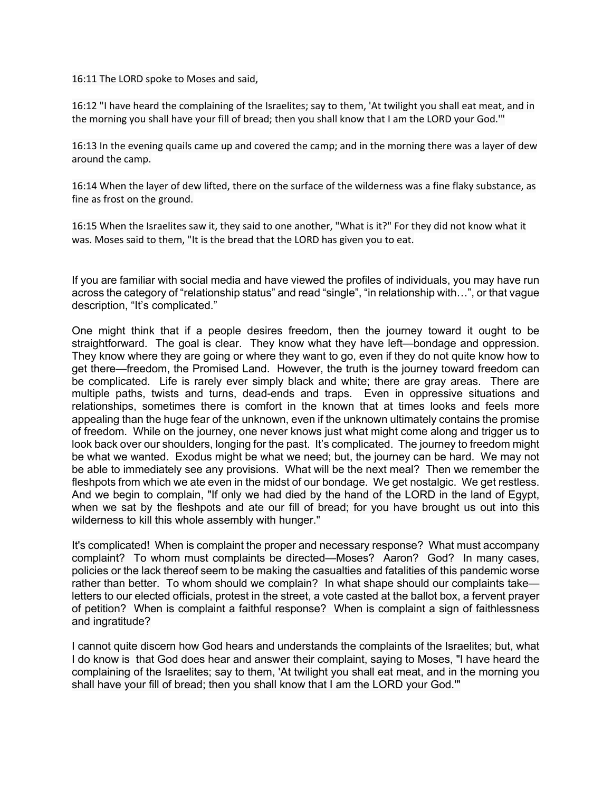16:11 The LORD spoke to Moses and said,

16:12 "I have heard the complaining of the Israelites; say to them, 'At twilight you shall eat meat, and in the morning you shall have your fill of bread; then you shall know that I am the LORD your God.'"

16:13 In the evening quails came up and covered the camp; and in the morning there was a layer of dew around the camp.

16:14 When the layer of dew lifted, there on the surface of the wilderness was a fine flaky substance, as fine as frost on the ground.

16:15 When the Israelites saw it, they said to one another, "What is it?" For they did not know what it was. Moses said to them, "It is the bread that the LORD has given you to eat.

If you are familiar with social media and have viewed the profiles of individuals, you may have run across the category of "relationship status" and read "single", "in relationship with…", or that vague description, "It's complicated."

One might think that if a people desires freedom, then the journey toward it ought to be straightforward. The goal is clear. They know what they have left—bondage and oppression. They know where they are going or where they want to go, even if they do not quite know how to get there—freedom, the Promised Land. However, the truth is the journey toward freedom can be complicated. Life is rarely ever simply black and white; there are gray areas. There are multiple paths, twists and turns, dead-ends and traps. Even in oppressive situations and relationships, sometimes there is comfort in the known that at times looks and feels more appealing than the huge fear of the unknown, even if the unknown ultimately contains the promise of freedom. While on the journey, one never knows just what might come along and trigger us to look back over our shoulders, longing for the past. It's complicated. The journey to freedom might be what we wanted. Exodus might be what we need; but, the journey can be hard. We may not be able to immediately see any provisions. What will be the next meal? Then we remember the fleshpots from which we ate even in the midst of our bondage. We get nostalgic. We get restless. And we begin to complain, "If only we had died by the hand of the LORD in the land of Egypt, when we sat by the fleshpots and ate our fill of bread; for you have brought us out into this wilderness to kill this whole assembly with hunger."

It's complicated! When is complaint the proper and necessary response? What must accompany complaint? To whom must complaints be directed—Moses? Aaron? God? In many cases, policies or the lack thereof seem to be making the casualties and fatalities of this pandemic worse rather than better. To whom should we complain? In what shape should our complaints take letters to our elected officials, protest in the street, a vote casted at the ballot box, a fervent prayer of petition? When is complaint a faithful response? When is complaint a sign of faithlessness and ingratitude?

I cannot quite discern how God hears and understands the complaints of the Israelites; but, what I do know is that God does hear and answer their complaint, saying to Moses, "I have heard the complaining of the Israelites; say to them, 'At twilight you shall eat meat, and in the morning you shall have your fill of bread; then you shall know that I am the LORD your God.'"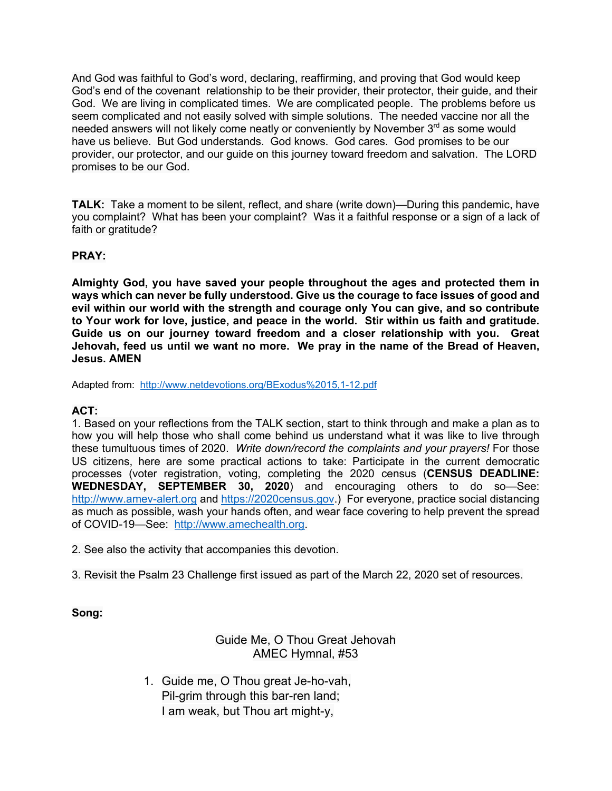And God was faithful to God's word, declaring, reaffirming, and proving that God would keep God's end of the covenant relationship to be their provider, their protector, their guide, and their God. We are living in complicated times. We are complicated people. The problems before us seem complicated and not easily solved with simple solutions. The needed vaccine nor all the needed answers will not likely come neatly or conveniently by November 3<sup>rd</sup> as some would have us believe. But God understands. God knows. God cares. God promises to be our provider, our protector, and our guide on this journey toward freedom and salvation. The LORD promises to be our God.

**TALK:** Take a moment to be silent, reflect, and share (write down)—During this pandemic, have you complaint? What has been your complaint? Was it a faithful response or a sign of a lack of faith or gratitude?

### **PRAY:**

**Almighty God, you have saved your people throughout the ages and protected them in ways which can never be fully understood. Give us the courage to face issues of good and evil within our world with the strength and courage only You can give, and so contribute to Your work for love, justice, and peace in the world. Stir within us faith and gratitude. Guide us on our journey toward freedom and a closer relationship with you. Great Jehovah, feed us until we want no more. We pray in the name of the Bread of Heaven, Jesus. AMEN** 

Adapted from: http://www.netdevotions.org/BExodus%2015,1-12.pdf

#### **ACT:**

1. Based on your reflections from the TALK section, start to think through and make a plan as to how you will help those who shall come behind us understand what it was like to live through these tumultuous times of 2020. *Write down/record the complaints and your prayers!* For those US citizens, here are some practical actions to take: Participate in the current democratic processes (voter registration, voting, completing the 2020 census (**CENSUS DEADLINE: WEDNESDAY, SEPTEMBER 30, 2020**) and encouraging others to do so—See: http://www.amev-alert.org and https://2020census.gov.) For everyone, practice social distancing as much as possible, wash your hands often, and wear face covering to help prevent the spread of COVID-19—See: http://www.amechealth.org.

- 2. See also the activity that accompanies this devotion.
- 3. Revisit the Psalm 23 Challenge first issued as part of the March 22, 2020 set of resources.

**Song:**

## Guide Me, O Thou Great Jehovah AMEC Hymnal, #53

1. Guide me, O Thou great Je-ho-vah, Pil-grim through this bar-ren land; I am weak, but Thou art might-y,